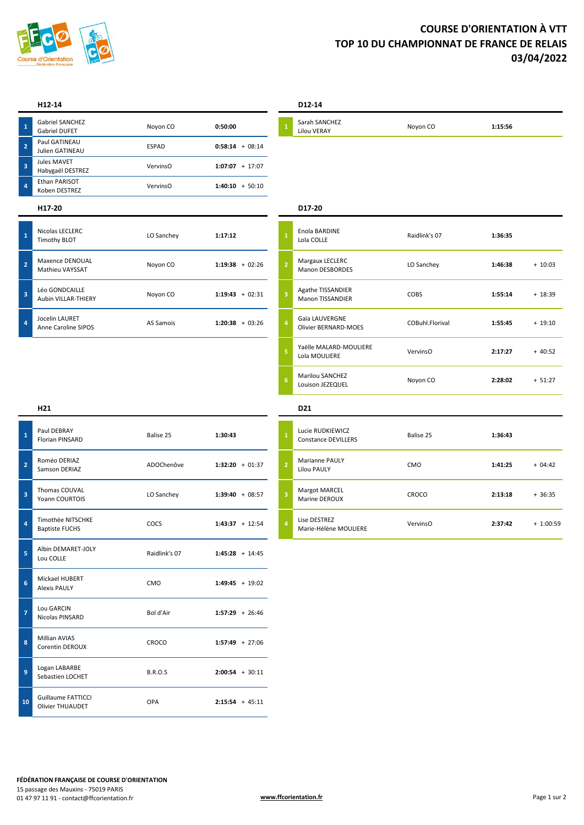

# **COURSE D'ORIENTATION À VTT TOP 10 DU CHAMPIONNAT DE FRANCE DE RELAIS 03/04/2022**

**1**

**2**

**3**

**4**

Nicolas LECLERC

Maxence DENOUAL

Léo GONDCAILLE

Jocelin LAURET

| 1                       | <b>Gabriel SANCHEZ</b><br><b>Gabriel DUFET</b> | Noyon CO     | 0:50:00             | $\overline{1}$ |
|-------------------------|------------------------------------------------|--------------|---------------------|----------------|
| $\mathbf{2}$            | Paul GATINEAU<br>Julien GATINEAU               | <b>ESPAD</b> | $0:58:14 + 08:14$   |                |
| $\overline{\mathbf{3}}$ | Jules MAVET<br>Habygaël DESTREZ                | VervinsO     | $1:07:07 + 17:07$   |                |
| $\overline{a}$          | Ethan PARISOT<br>Koben DESTREZ                 | VervinsO     | $+50:10$<br>1:40:10 |                |
|                         |                                                |              |                     |                |

Nicolas LECLERC<br>
Timothy BLOT **1:17:12**<br>
LO Sanchey **1:17:12** 

Maxence DENOUAL<br>
Mathieu VAYSSAT<br>
Mathieu VAYSSAT

Leo GONDCAILLE<br>
Aubin VILLAR-THIERY **Noyon CO 1:19:43** + 02:31

FIFT ANNET ANNET AND AS Samois<br>Anne Caroline SIPOS **Annet Assembly** AS Samois **1:20:38** + 03:26

### **H12-14 D12-14**

| Sarah SANCH |
|-------------|
|-------------|

Sarah SANCHEZ Lilou VERAY Noyon CO **1:15:56**

## **H17-20 D17-20**

| $\mathbf{1}$   | Enola BARDINE<br>Lola COLLE                   | Raidlink's 07   | 1:36:35 |           |
|----------------|-----------------------------------------------|-----------------|---------|-----------|
| $\overline{2}$ | Margaux LECLERC<br><b>Manon DESBORDES</b>     | LO Sanchey      | 1:46:38 | $+ 10:03$ |
| 3              | Agathe TISSANDIER<br><b>Manon TISSANDIER</b>  | <b>COBS</b>     | 1:55:14 | $+18:39$  |
| 4              | Gaïa LAUVERGNE<br><b>Olivier BERNARD-MOES</b> | COBuhl Florival | 1:55:45 | $+ 19:10$ |
| 5              | Yaëlle MALARD-MOULIERE<br>Lola MOULIERE       | VervinsO        | 2:17:27 | $+40:52$  |
| 6              | <b>Marilou SANCHEZ</b><br>Louison JEZEQUEL    | Noyon CO        | 2:28:02 | $+ 51:27$ |

| $\mathbf{1}$   | Paul DEBRAY<br><b>Florian PINSARD</b>          | Balise 25      | 1:30:43           | $\overline{1}$ |
|----------------|------------------------------------------------|----------------|-------------------|----------------|
| $\overline{2}$ | Roméo DERIAZ<br>Samson DERIAZ                  | ADOChenôve     | $1:32:20 + 01:37$ | $\overline{a}$ |
| 3              | Thomas COUVAL<br>Yoann COURTOIS                | LO Sanchey     | $1:39:40 + 08:57$ | 3              |
| $\overline{a}$ | Timothée NITSCHKE<br><b>Baptiste FUCHS</b>     | <b>COCS</b>    | $1:43:37 + 12:54$ | 4              |
| 5              | Albin DEMARET-JOLY<br>Lou COLLE                | Raidlink's 07  | $1:45:28 + 14:45$ |                |
| 6              | Mickael HUBERT<br><b>Alexis PAULY</b>          | CMO            | $1:49:45 + 19:02$ |                |
| $\overline{7}$ | Lou GARCIN<br>Nicolas PINSARD                  | Bol d'Air      | $1:57:29 + 26:46$ |                |
| 8              | <b>Millian AVIAS</b><br><b>Corentin DEROUX</b> | CROCO          | $1:57:49 + 27:06$ |                |
| 9              | Logan LABARBE<br>Sebastien LOCHET              | <b>B.R.O.S</b> | $2:00:54 + 30:11$ |                |
| 10             | Guillaume FATTICCL<br>Olivier THUAUDET         | OPA            | $2:15:54 + 45:11$ |                |

## **H21 D21**

| Lucie RUDKIEWICZ<br><b>Constance DEVILLERS</b> | Balise 25       | 1:36:43 |            |
|------------------------------------------------|-----------------|---------|------------|
| <b>Marianne PAULY</b><br>Lilou PAULY           | CM <sub>O</sub> | 1:41:25 | $+04:42$   |
| <b>Margot MARCEL</b><br>Marine DEROUX          | CROCO           | 2:13:18 | $+36:35$   |
| Lise DESTREZ<br>Marie-Hélène MOULIERE          | VervinsO        | 2:37:42 | $+1:00:59$ |